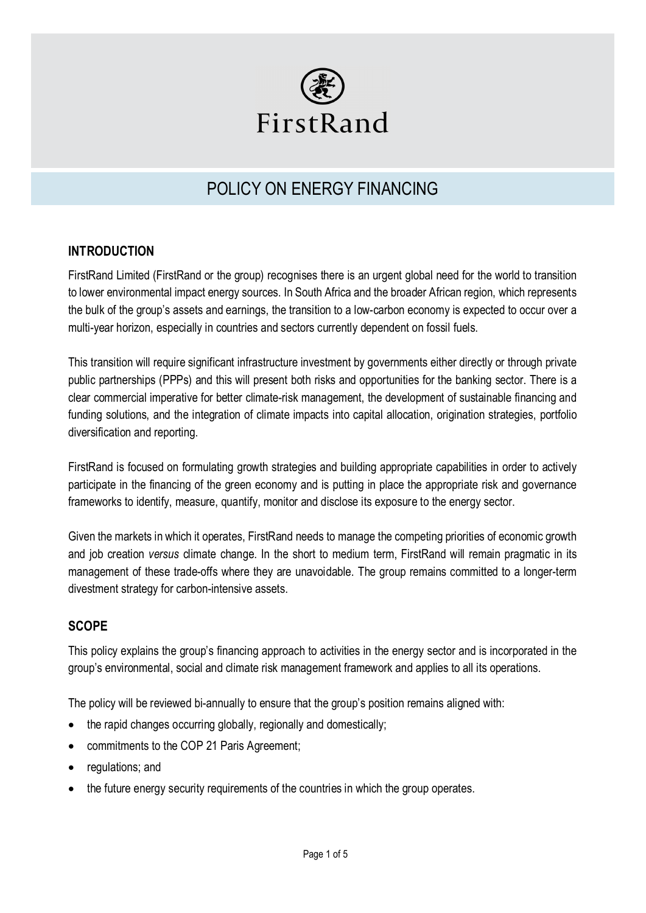

# POLICY ON ENERGY FINANCING

## **INTRODUCTION**

FirstRand Limited (FirstRand or the group) recognises there is an urgent global need for the world to transition to lower environmental impact energy sources. In South Africa and the broader African region, which represents the bulk of the group's assets and earnings, the transition to a low-carbon economy is expected to occur over a multi-year horizon, especially in countries and sectors currently dependent on fossil fuels.

This transition will require significant infrastructure investment by governments either directly or through private public partnerships (PPPs) and this will present both risks and opportunities for the banking sector. There is a clear commercial imperative for better climate-risk management, the development of sustainable financing and funding solutions, and the integration of climate impacts into capital allocation, origination strategies, portfolio diversification and reporting.

FirstRand is focused on formulating growth strategies and building appropriate capabilities in order to actively participate in the financing of the green economy and is putting in place the appropriate risk and governance frameworks to identify, measure, quantify, monitor and disclose its exposure to the energy sector.

Given the markets in which it operates, FirstRand needs to manage the competing priorities of economic growth and job creation *versus* climate change. In the short to medium term, FirstRand will remain pragmatic in its management of these trade-offs where they are unavoidable. The group remains committed to a longer-term divestment strategy for carbon-intensive assets.

# **SCOPE**

This policy explains the group's financing approach to activities in the energy sector and is incorporated in the group's environmental, social and climate risk management framework and applies to all its operations.

The policy will be reviewed bi-annually to ensure that the group's position remains aligned with:

- the rapid changes occurring globally, regionally and domestically;
- commitments to the COP 21 Paris Agreement;
- regulations; and
- the future energy security requirements of the countries in which the group operates.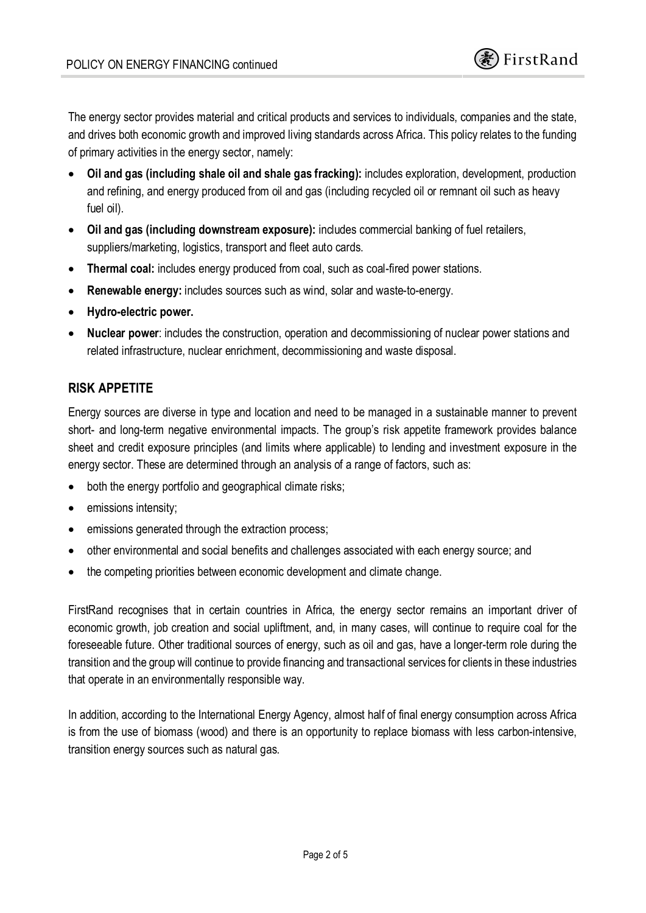

The energy sector provides material and critical products and services to individuals, companies and the state, and drives both economic growth and improved living standards across Africa. This policy relates to the funding of primary activities in the energy sector, namely:

- · **Oil and gas (including shale oil and shale gas fracking):** includes exploration, development, production and refining, and energy produced from oil and gas (including recycled oil or remnant oil such as heavy fuel oil).
- · **Oil and gas (including downstream exposure):** includes commercial banking of fuel retailers, suppliers/marketing, logistics, transport and fleet auto cards.
- · **Thermal coal:** includes energy produced from coal, such as coal-fired power stations.
- **Renewable energy:** includes sources such as wind, solar and waste-to-energy.
- · **Hydro-electric power.**
- · **Nuclear power**: includes the construction, operation and decommissioning of nuclear power stations and related infrastructure, nuclear enrichment, decommissioning and waste disposal.

# **RISK APPETITE**

Energy sources are diverse in type and location and need to be managed in a sustainable manner to prevent short- and long-term negative environmental impacts. The group's risk appetite framework provides balance sheet and credit exposure principles (and limits where applicable) to lending and investment exposure in the energy sector. These are determined through an analysis of a range of factors, such as:

- both the energy portfolio and geographical climate risks;
- emissions intensity;
- emissions generated through the extraction process;
- · other environmental and social benefits and challenges associated with each energy source; and
- the competing priorities between economic development and climate change.

FirstRand recognises that in certain countries in Africa, the energy sector remains an important driver of economic growth, job creation and social upliftment, and, in many cases, will continue to require coal for the foreseeable future. Other traditional sources of energy, such as oil and gas, have a longer-term role during the transition and the group will continue to provide financing and transactional services for clients in these industries that operate in an environmentally responsible way.

In addition, according to the International Energy Agency, almost half of final energy consumption across Africa is from the use of biomass (wood) and there is an opportunity to replace biomass with less carbon-intensive, transition energy sources such as natural gas.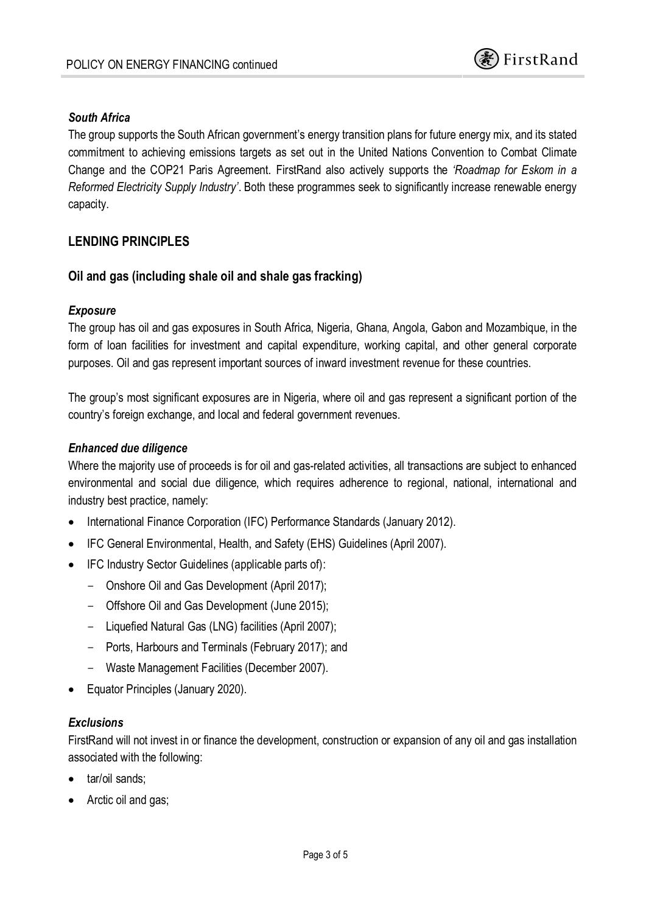

#### *South Africa*

The group supports the South African government's energy transition plans for future energy mix, and its stated commitment to achieving emissions targets as set out in the United Nations Convention to Combat Climate Change and the COP21 Paris Agreement. FirstRand also actively supports the *'Roadmap for Eskom in a Reformed Electricity Supply Industry'*. Both these programmes seek to significantly increase renewable energy capacity.

## **LENDING PRINCIPLES**

#### **Oil and gas (including shale oil and shale gas fracking)**

#### *Exposure*

The group has oil and gas exposures in South Africa, Nigeria, Ghana, Angola, Gabon and Mozambique, in the form of loan facilities for investment and capital expenditure, working capital, and other general corporate purposes. Oil and gas represent important sources of inward investment revenue for these countries.

The group's most significant exposures are in Nigeria, where oil and gas represent a significant portion of the country's foreign exchange, and local and federal government revenues.

#### *Enhanced due diligence*

Where the majority use of proceeds is for oil and gas-related activities, all transactions are subject to enhanced environmental and social due diligence, which requires adherence to regional, national, international and industry best practice, namely:

- · International Finance Corporation (IFC) Performance Standards (January 2012).
- · IFC General Environmental, Health, and Safety (EHS) Guidelines (April 2007).
- · IFC Industry Sector Guidelines (applicable parts of):
	- Onshore Oil and Gas Development (April 2017);
	- Offshore Oil and Gas Development (June 2015);
	- Liquefied Natural Gas (LNG) facilities (April 2007);
	- Ports, Harbours and Terminals (February 2017); and
	- Waste Management Facilities (December 2007).
- Equator Principles (January 2020).

#### *Exclusions*

FirstRand will not invest in or finance the development, construction or expansion of any oil and gas installation associated with the following:

- tar/oil sands:
- Arctic oil and gas;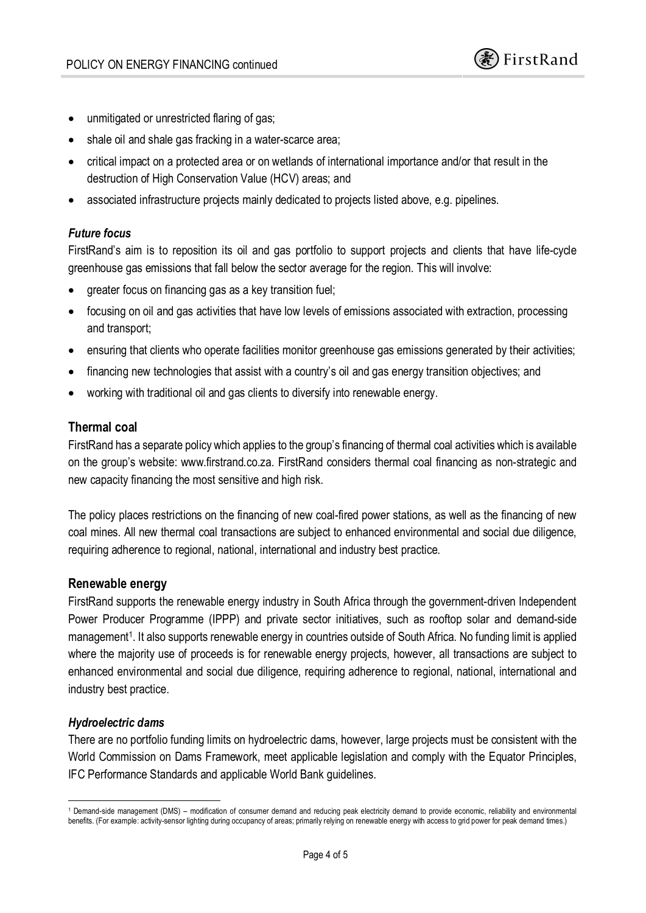- · unmitigated or unrestricted flaring of gas;
- shale oil and shale gas fracking in a water-scarce area;
- · critical impact on a protected area or on wetlands of international importance and/or that result in the destruction of High Conservation Value (HCV) areas; and
- associated infrastructure projects mainly dedicated to projects listed above, e.g. pipelines.

#### *Future focus*

FirstRand's aim is to reposition its oil and gas portfolio to support projects and clients that have life-cycle greenhouse gas emissions that fall below the sector average for the region. This will involve:

- greater focus on financing gas as a key transition fuel;
- · focusing on oil and gas activities that have low levels of emissions associated with extraction, processing and transport;
- · ensuring that clients who operate facilities monitor greenhouse gas emissions generated by their activities;
- · financing new technologies that assist with a country's oil and gas energy transition objectives; and
- working with traditional oil and gas clients to diversify into renewable energy.

## **Thermal coal**

FirstRand has a separate policy which applies to the group's financing of thermal coal activities which is available on the group's website: www.firstrand.co.za. FirstRand considers thermal coal financing as non-strategic and new capacity financing the most sensitive and high risk.

The policy places restrictions on the financing of new coal-fired power stations, as well as the financing of new coal mines. All new thermal coal transactions are subject to enhanced environmental and social due diligence, requiring adherence to regional, national, international and industry best practice.

#### **Renewable energy**

FirstRand supports the renewable energy industry in South Africa through the government-driven Independent Power Producer Programme (IPPP) and private sector initiatives, such as rooftop solar and demand-side management<sup>1</sup>. It also supports renewable energy in countries outside of South Africa. No funding limit is applied where the majority use of proceeds is for renewable energy projects, however, all transactions are subject to enhanced environmental and social due diligence, requiring adherence to regional, national, international and industry best practice.

#### *Hydroelectric dams*

There are no portfolio funding limits on hydroelectric dams, however, large projects must be consistent with the World Commission on Dams Framework, meet applicable legislation and comply with the Equator Principles, IFC Performance Standards and applicable World Bank guidelines.

<sup>1</sup> Demand-side management (DMS) – modification of consumer demand and reducing peak electricity demand to provide economic, reliability and environmental benefits. (For example: activity-sensor lighting during occupancy of areas; primarily relying on renewable energy with access to grid power for peak demand times.)